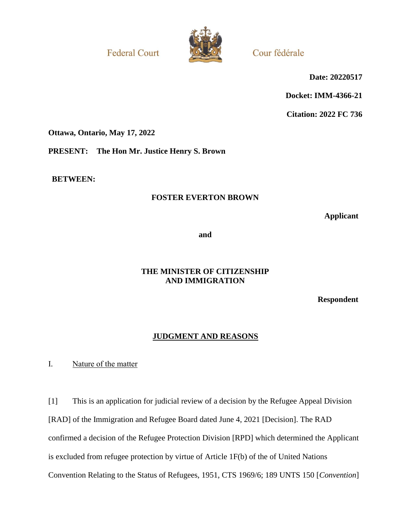**Federal Court** 



Cour fédérale

**Date: 20220517**

**Docket: IMM-4366-21**

**Citation: 2022 FC 736**

**Ottawa, Ontario, May 17, 2022**

**PRESENT: The Hon Mr. Justice Henry S. Brown**

**BETWEEN:**

# **FOSTER EVERTON BROWN**

**Applicant**

**and**

# **THE MINISTER OF CITIZENSHIP AND IMMIGRATION**

**Respondent**

# **JUDGMENT AND REASONS**

I. Nature of the matter

[1] This is an application for judicial review of a decision by the Refugee Appeal Division [RAD] of the Immigration and Refugee Board dated June 4, 2021 [Decision]. The RAD confirmed a decision of the Refugee Protection Division [RPD] which determined the Applicant is excluded from refugee protection by virtue of Article 1F(b) of the of United Nations Convention Relating to the Status of Refugees, 1951, CTS 1969/6; 189 UNTS 150 [*Convention*]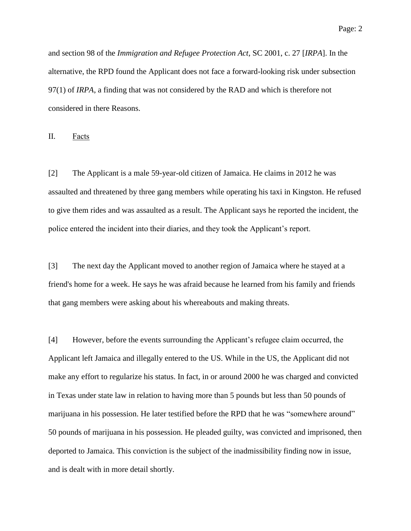Page: 2

and section 98 of the *Immigration and Refugee Protection Act*, SC 2001, c. 27 [*IRPA*]. In the alternative, the RPD found the Applicant does not face a forward-looking risk under subsection 97(1) of *IRPA*, a finding that was not considered by the RAD and which is therefore not considered in there Reasons.

II. Facts

[2] The Applicant is a male 59-year-old citizen of Jamaica. He claims in 2012 he was assaulted and threatened by three gang members while operating his taxi in Kingston. He refused to give them rides and was assaulted as a result. The Applicant says he reported the incident, the police entered the incident into their diaries, and they took the Applicant's report.

[3] The next day the Applicant moved to another region of Jamaica where he stayed at a friend's home for a week. He says he was afraid because he learned from his family and friends that gang members were asking about his whereabouts and making threats.

[4] However, before the events surrounding the Applicant's refugee claim occurred, the Applicant left Jamaica and illegally entered to the US. While in the US, the Applicant did not make any effort to regularize his status. In fact, in or around 2000 he was charged and convicted in Texas under state law in relation to having more than 5 pounds but less than 50 pounds of marijuana in his possession. He later testified before the RPD that he was "somewhere around" 50 pounds of marijuana in his possession. He pleaded guilty, was convicted and imprisoned, then deported to Jamaica. This conviction is the subject of the inadmissibility finding now in issue, and is dealt with in more detail shortly.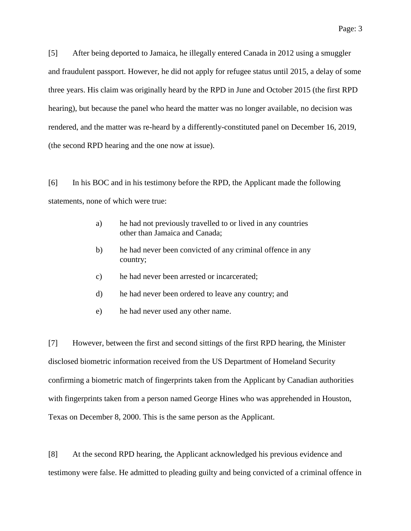[5] After being deported to Jamaica, he illegally entered Canada in 2012 using a smuggler and fraudulent passport. However, he did not apply for refugee status until 2015, a delay of some three years. His claim was originally heard by the RPD in June and October 2015 (the first RPD hearing), but because the panel who heard the matter was no longer available, no decision was rendered, and the matter was re-heard by a differently-constituted panel on December 16, 2019, (the second RPD hearing and the one now at issue).

[6] In his BOC and in his testimony before the RPD, the Applicant made the following statements, none of which were true:

- a) he had not previously travelled to or lived in any countries other than Jamaica and Canada;
- b) he had never been convicted of any criminal offence in any country;
- c) he had never been arrested or incarcerated;
- d) he had never been ordered to leave any country; and
- e) he had never used any other name.

[7] However, between the first and second sittings of the first RPD hearing, the Minister disclosed biometric information received from the US Department of Homeland Security confirming a biometric match of fingerprints taken from the Applicant by Canadian authorities with fingerprints taken from a person named George Hines who was apprehended in Houston, Texas on December 8, 2000. This is the same person as the Applicant.

[8] At the second RPD hearing, the Applicant acknowledged his previous evidence and testimony were false. He admitted to pleading guilty and being convicted of a criminal offence in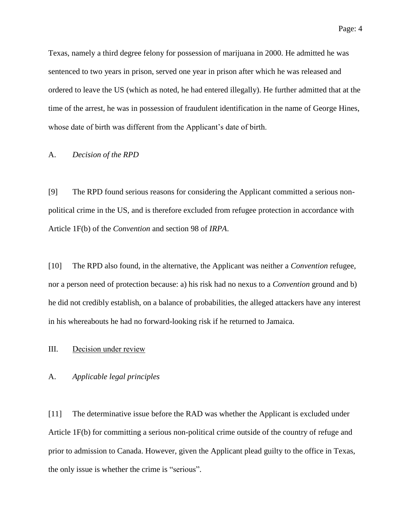Texas, namely a third degree felony for possession of marijuana in 2000. He admitted he was sentenced to two years in prison, served one year in prison after which he was released and ordered to leave the US (which as noted, he had entered illegally). He further admitted that at the time of the arrest, he was in possession of fraudulent identification in the name of George Hines, whose date of birth was different from the Applicant's date of birth.

### A. *Decision of the RPD*

[9] The RPD found serious reasons for considering the Applicant committed a serious nonpolitical crime in the US, and is therefore excluded from refugee protection in accordance with Article 1F(b) of the *Convention* and section 98 of *IRPA*.

[10] The RPD also found, in the alternative, the Applicant was neither a *Convention* refugee, nor a person need of protection because: a) his risk had no nexus to a *Convention* ground and b) he did not credibly establish, on a balance of probabilities, the alleged attackers have any interest in his whereabouts he had no forward-looking risk if he returned to Jamaica.

### III. Decision under review

### A. *Applicable legal principles*

[11] The determinative issue before the RAD was whether the Applicant is excluded under Article 1F(b) for committing a serious non-political crime outside of the country of refuge and prior to admission to Canada. However, given the Applicant plead guilty to the office in Texas, the only issue is whether the crime is "serious".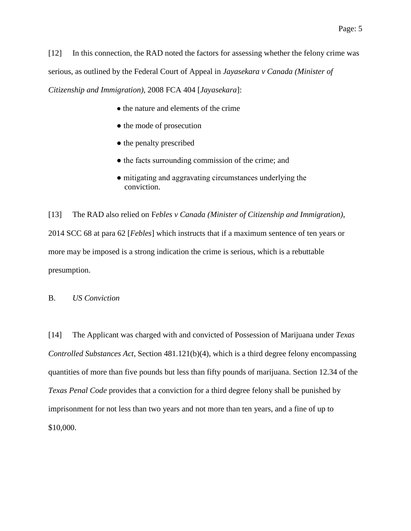[12] In this connection, the RAD noted the factors for assessing whether the felony crime was serious, as outlined by the Federal Court of Appeal in *Jayasekara v Canada (Minister of* 

*Citizenship and Immigration),* 2008 FCA 404 [*Jayasekara*]:

- the nature and elements of the crime
- the mode of prosecution
- the penalty prescribed
- the facts surrounding commission of the crime; and
- mitigating and aggravating circumstances underlying the conviction.

[13] The RAD also relied on F*ebles v Canada (Minister of Citizenship and Immigration)*, 2014 SCC 68 at para 62 [*Febles*] which instructs that if a maximum sentence of ten years or more may be imposed is a strong indication the crime is serious, which is a rebuttable presumption.

### B. *US Conviction*

[14] The Applicant was charged with and convicted of Possession of Marijuana under *Texas Controlled Substances Act*, Section 481.121(b)(4), which is a third degree felony encompassing quantities of more than five pounds but less than fifty pounds of marijuana. Section 12.34 of the *Texas Penal Code* provides that a conviction for a third degree felony shall be punished by imprisonment for not less than two years and not more than ten years, and a fine of up to \$10,000.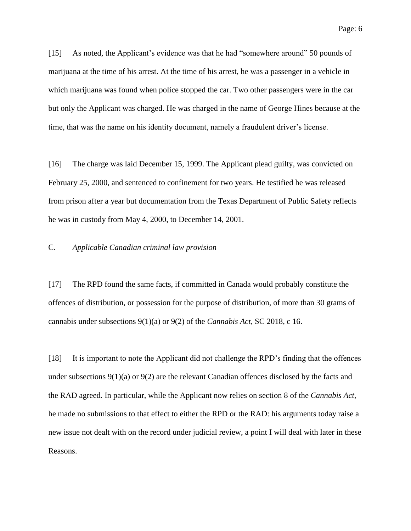[15] As noted, the Applicant's evidence was that he had "somewhere around" 50 pounds of marijuana at the time of his arrest. At the time of his arrest, he was a passenger in a vehicle in which marijuana was found when police stopped the car. Two other passengers were in the car but only the Applicant was charged. He was charged in the name of George Hines because at the time, that was the name on his identity document, namely a fraudulent driver's license.

[16] The charge was laid December 15, 1999. The Applicant plead guilty, was convicted on February 25, 2000, and sentenced to confinement for two years. He testified he was released from prison after a year but documentation from the Texas Department of Public Safety reflects he was in custody from May 4, 2000, to December 14, 2001.

## C. *Applicable Canadian criminal law provision*

[17] The RPD found the same facts, if committed in Canada would probably constitute the offences of distribution, or possession for the purpose of distribution, of more than 30 grams of cannabis under subsections 9(1)(a) or 9(2) of the *Cannabis Act*, SC 2018, c 16.

[18] It is important to note the Applicant did not challenge the RPD's finding that the offences under subsections  $9(1)(a)$  or  $9(2)$  are the relevant Canadian offences disclosed by the facts and the RAD agreed. In particular, while the Applicant now relies on section 8 of the *Cannabis Act*, he made no submissions to that effect to either the RPD or the RAD: his arguments today raise a new issue not dealt with on the record under judicial review, a point I will deal with later in these Reasons.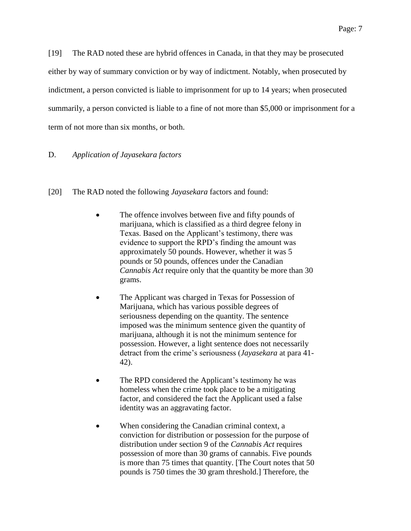[19] The RAD noted these are hybrid offences in Canada, in that they may be prosecuted either by way of summary conviction or by way of indictment. Notably, when prosecuted by indictment, a person convicted is liable to imprisonment for up to 14 years; when prosecuted summarily, a person convicted is liable to a fine of not more than \$5,000 or imprisonment for a term of not more than six months, or both.

### D. *Application of Jayasekara factors*

- [20] The RAD noted the following *Jayasekara* factors and found:
	- The offence involves between five and fifty pounds of marijuana, which is classified as a third degree felony in Texas. Based on the Applicant's testimony, there was evidence to support the RPD's finding the amount was approximately 50 pounds. However, whether it was 5 pounds or 50 pounds, offences under the Canadian *Cannabis Act* require only that the quantity be more than 30 grams.
	- The Applicant was charged in Texas for Possession of Marijuana, which has various possible degrees of seriousness depending on the quantity. The sentence imposed was the minimum sentence given the quantity of marijuana, although it is not the minimum sentence for possession. However, a light sentence does not necessarily detract from the crime's seriousness (*Jayasekara* at para 41- 42).
	- The RPD considered the Applicant's testimony he was homeless when the crime took place to be a mitigating factor, and considered the fact the Applicant used a false identity was an aggravating factor.
	- When considering the Canadian criminal context, a conviction for distribution or possession for the purpose of distribution under section 9 of the *Cannabis Act* requires possession of more than 30 grams of cannabis. Five pounds is more than 75 times that quantity. [The Court notes that 50 pounds is 750 times the 30 gram threshold.] Therefore, the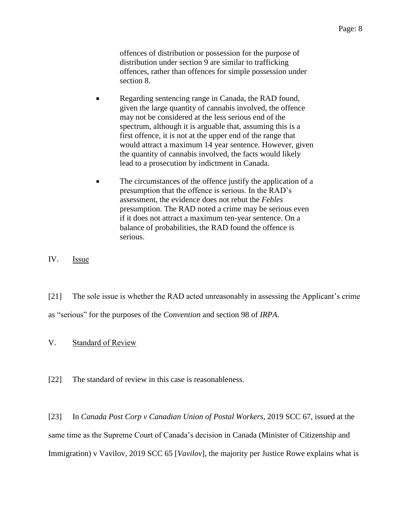offences of distribution or possession for the purpose of distribution under section 9 are similar to trafficking offences, rather than offences for simple possession under section 8.

- Regarding sentencing range in Canada, the RAD found, given the large quantity of cannabis involved, the offence may not be considered at the less serious end of the spectrum, although it is arguable that, assuming this is a first offence, it is not at the upper end of the range that would attract a maximum 14 year sentence. However, given the quantity of cannabis involved, the facts would likely lead to a prosecution by indictment in Canada.
- The circumstances of the offence justify the application of a presumption that the offence is serious. In the RAD's assessment, the evidence does not rebut the *Febles* presumption. The RAD noted a crime may be serious even if it does not attract a maximum ten-year sentence. On a balance of probabilities, the RAD found the offence is serious.

IV. Issue

[21] The sole issue is whether the RAD acted unreasonably in assessing the Applicant's crime as "serious" for the purposes of the *Convention* and section 98 of *IRPA*.

- V. Standard of Review
- [22] The standard of review in this case is reasonableness.

[23] In *Canada Post Corp v Canadian Union of Postal Workers*, 2019 SCC 67, issued at the same time as the Supreme Court of Canada's decision in Canada (Minister of Citizenship and Immigration) v Vavilov, 2019 SCC 65 [*Vavilov*], the majority per Justice Rowe explains what is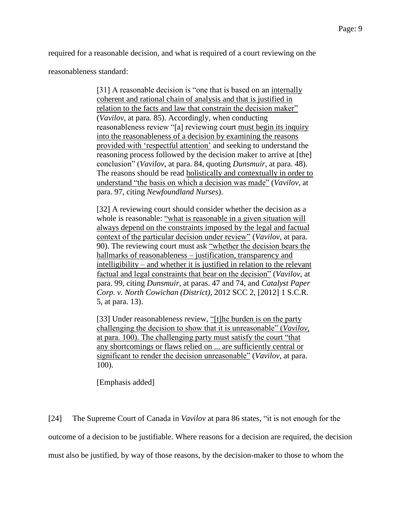required for a reasonable decision, and what is required of a court reviewing on the

reasonableness standard:

[31] A reasonable decision is "one that is based on an internally coherent and rational chain of analysis and that is justified in relation to the facts and law that constrain the decision maker" (*Vavilov*, at para. 85). Accordingly, when conducting reasonableness review "[a] reviewing court must begin its inquiry into the reasonableness of a decision by examining the reasons provided with 'respectful attention' and seeking to understand the reasoning process followed by the decision maker to arrive at [the] conclusion" (*Vavilov*, at para. 84, quoting *Dunsmuir*, at para. 48). The reasons should be read holistically and contextually in order to understand "the basis on which a decision was made" (*Vavilov*, at para. 97, citing *Newfoundland Nurses*).

[32] A reviewing court should consider whether the decision as a whole is reasonable: "what is reasonable in a given situation will always depend on the constraints imposed by the legal and factual context of the particular decision under review" (*Vavilov*, at para. 90). The reviewing court must ask "whether the decision bears the hallmarks of reasonableness – justification, transparency and intelligibility – and whether it is justified in relation to the relevant factual and legal constraints that bear on the decision" (*Vavilov*, at para. 99, citing *Dunsmuir*, at paras. 47 and 74, and *Catalyst Paper Corp. v. North Cowichan (District)*, 2012 SCC 2, [2012] 1 S.C.R. 5, at para. 13).

[33] Under reasonableness review, "[t]he burden is on the party challenging the decision to show that it is unreasonable" (*Vavilov*, at para. 100). The challenging party must satisfy the court "that any shortcomings or flaws relied on ... are sufficiently central or significant to render the decision unreasonable" (*Vavilov*, at para. 100).

[Emphasis added]

[24] The Supreme Court of Canada in *Vavilov* at para 86 states, "it is not enough for the outcome of a decision to be justifiable. Where reasons for a decision are required, the decision must also be justified, by way of those reasons, by the decision-maker to those to whom the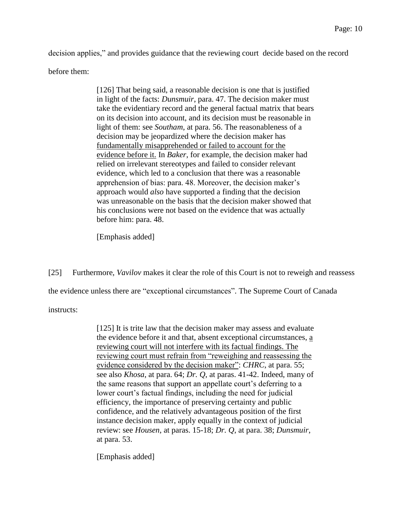decision applies," and provides guidance that the reviewing court decide based on the record before them:

> [126] That being said, a reasonable decision is one that is justified in light of the facts: *Dunsmuir*, para. 47. The decision maker must take the evidentiary record and the general factual matrix that bears on its decision into account, and its decision must be reasonable in light of them: see *Southam*, at para. 56. The reasonableness of a decision may be jeopardized where the decision maker has fundamentally misapprehended or failed to account for the evidence before it. In *Baker*, for example, the decision maker had relied on irrelevant stereotypes and failed to consider relevant evidence, which led to a conclusion that there was a reasonable apprehension of bias: para. 48. Moreover, the decision maker's approach would *also* have supported a finding that the decision was unreasonable on the basis that the decision maker showed that his conclusions were not based on the evidence that was actually before him: para. 48.

[Emphasis added]

[25] Furthermore, *Vavilov* makes it clear the role of this Court is not to reweigh and reassess

the evidence unless there are "exceptional circumstances". The Supreme Court of Canada

instructs:

[125] It is trite law that the decision maker may assess and evaluate the evidence before it and that, absent exceptional circumstances, a reviewing court will not interfere with its factual findings. The reviewing court must refrain from "reweighing and reassessing the evidence considered by the decision maker": *CHRC*, at para. 55; see also *Khosa*, at para. 64; *Dr. Q*, at paras. 41-42. Indeed, many of the same reasons that support an appellate court's deferring to a lower court's factual findings, including the need for judicial efficiency, the importance of preserving certainty and public confidence, and the relatively advantageous position of the first instance decision maker, apply equally in the context of judicial review: see *Housen*, at paras. 15-18; *Dr. Q*, at para. 38; *Dunsmuir*, at para. 53.

[Emphasis added]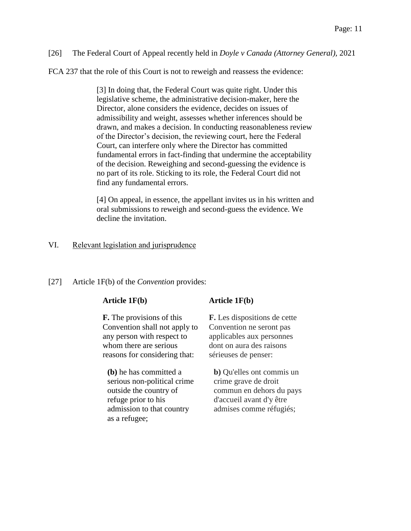[26] The Federal Court of Appeal recently held in *Doyle v Canada (Attorney General),* 2021

FCA 237 that the role of this Court is not to reweigh and reassess the evidence:

[3] In doing that, the Federal Court was quite right. Under this legislative scheme, the administrative decision-maker, here the Director, alone considers the evidence, decides on issues of admissibility and weight, assesses whether inferences should be drawn, and makes a decision. In conducting reasonableness review of the Director's decision, the reviewing court, here the Federal Court, can interfere only where the Director has committed fundamental errors in fact-finding that undermine the acceptability of the decision. Reweighing and second-guessing the evidence is no part of its role. Sticking to its role, the Federal Court did not find any fundamental errors.

[4] On appeal, in essence, the appellant invites us in his written and oral submissions to reweigh and second-guess the evidence. We decline the invitation.

## VI. Relevant legislation and jurisprudence

[27] Article 1F(b) of the *Convention* provides:

**F.** The provisions of this Convention shall not apply to any person with respect to whom there are serious reasons for considering that:

**(b)** he has committed a serious non-political crime outside the country of refuge prior to his admission to that country as a refugee;

## **Article 1F(b) Article 1F(b)**

**F.** Les dispositions de cette Convention ne seront pas applicables aux personnes dont on aura des raisons sérieuses de penser:

**b)** Qu'elles ont commis un crime grave de droit commun en dehors du pays d'accueil avant d'y être admises comme réfugiés;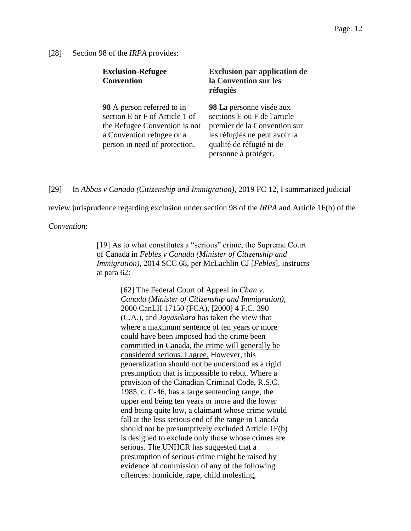### [28] Section 98 of the *IRPA* provides:

| <b>Exclusion-Refugee</b><br><b>Convention</b>                                                                                                               | <b>Exclusion par application de</b><br>la Convention sur les<br>réfugiés                                                                                                      |
|-------------------------------------------------------------------------------------------------------------------------------------------------------------|-------------------------------------------------------------------------------------------------------------------------------------------------------------------------------|
| 98 A person referred to in<br>section E or F of Article 1 of<br>the Refugee Convention is not<br>a Convention refugee or a<br>person in need of protection. | 98 La personne visée aux<br>sections E ou F de l'article<br>premier de la Convention sur<br>les réfugiés ne peut avoir la<br>qualité de réfugié ni de<br>personne à protéger. |

[29] In *Abbas v Canada (Citizenship and Immigration)*, 2019 FC 12, I summarized judicial

review jurisprudence regarding exclusion under section 98 of the *IRPA* and Article 1F(b) of the

*Convention*:

[19] As to what constitutes a "serious" crime, the Supreme Court of Canada in *Febles v Canada (Minister of Citizenship and Immigration)*, 2014 SCC 68, per McLachlin CJ [*Febles*], instructs at para 62:

> [62] The Federal Court of Appeal in *Chan v. Canada (Minister of Citizenship and Immigration)*, 2000 CanLII 17150 (FCA), [2000] 4 F.C. 390 (C.A.), and *Jayasekara* has taken the view that where a maximum sentence of ten years or more could have been imposed had the crime been committed in Canada, the crime will generally be considered serious. I agree. However, this generalization should not be understood as a rigid presumption that is impossible to rebut. Where a provision of the Canadian Criminal Code, R.S.C. 1985, c. C-46, has a large sentencing range, the upper end being ten years or more and the lower end being quite low, a claimant whose crime would fall at the less serious end of the range in Canada should not be presumptively excluded Article 1F(b) is designed to exclude only those whose crimes are serious. The UNHCR has suggested that a presumption of serious crime might be raised by evidence of commission of any of the following offences: homicide, rape, child molesting,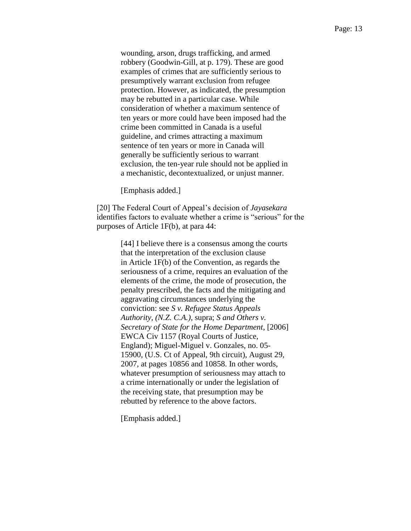wounding, arson, drugs trafficking, and armed robbery (Goodwin-Gill, at p. 179). These are good examples of crimes that are sufficiently serious to presumptively warrant exclusion from refugee protection. However, as indicated, the presumption may be rebutted in a particular case. While consideration of whether a maximum sentence of ten years or more could have been imposed had the crime been committed in Canada is a useful guideline, and crimes attracting a maximum sentence of ten years or more in Canada will generally be sufficiently serious to warrant exclusion, the ten-year rule should not be applied in a mechanistic, decontextualized, or unjust manner.

[Emphasis added.]

[20] The Federal Court of Appeal's decision of *Jayasekara*  identifies factors to evaluate whether a crime is "serious" for the purposes of Article 1F(b), at para 44:

> [44] I believe there is a consensus among the courts that the interpretation of the exclusion clause in Article 1F(b) of the Convention, as regards the seriousness of a crime, requires an evaluation of the elements of the crime, the mode of prosecution, the penalty prescribed, the facts and the mitigating and aggravating circumstances underlying the conviction: see *S v. Refugee Status Appeals Authority, (N.Z. C.A.)*, supra; *S and Others v. Secretary of State for the Home Department*, [2006] EWCA Civ 1157 (Royal Courts of Justice, England); Miguel-Miguel v. Gonzales, no. 05- 15900, (U.S. Ct of Appeal, 9th circuit), August 29, 2007, at pages 10856 and 10858. In other words, whatever presumption of seriousness may attach to a crime internationally or under the legislation of the receiving state, that presumption may be rebutted by reference to the above factors.

[Emphasis added.]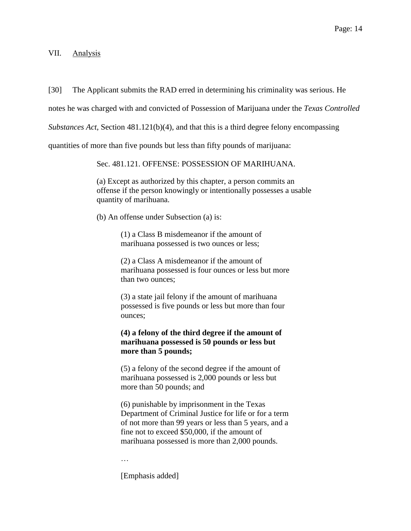[30] The Applicant submits the RAD erred in determining his criminality was serious. He

notes he was charged with and convicted of Possession of Marijuana under the *Texas Controlled* 

*Substances Act*, Section 481.121(b)(4), and that this is a third degree felony encompassing

quantities of more than five pounds but less than fifty pounds of marijuana:

Sec. 481.121. OFFENSE: POSSESSION OF MARIHUANA.

(a) Except as authorized by this chapter, a person commits an offense if the person knowingly or intentionally possesses a usable quantity of marihuana.

(b) An offense under Subsection (a) is:

(1) a Class B misdemeanor if the amount of marihuana possessed is two ounces or less;

(2) a Class A misdemeanor if the amount of marihuana possessed is four ounces or less but more than two ounces;

(3) a state jail felony if the amount of marihuana possessed is five pounds or less but more than four ounces;

**(4) a felony of the third degree if the amount of marihuana possessed is 50 pounds or less but more than 5 pounds;**

(5) a felony of the second degree if the amount of marihuana possessed is 2,000 pounds or less but more than 50 pounds; and

(6) punishable by imprisonment in the Texas Department of Criminal Justice for life or for a term of not more than 99 years or less than 5 years, and a fine not to exceed \$50,000, if the amount of marihuana possessed is more than 2,000 pounds.

…

[Emphasis added]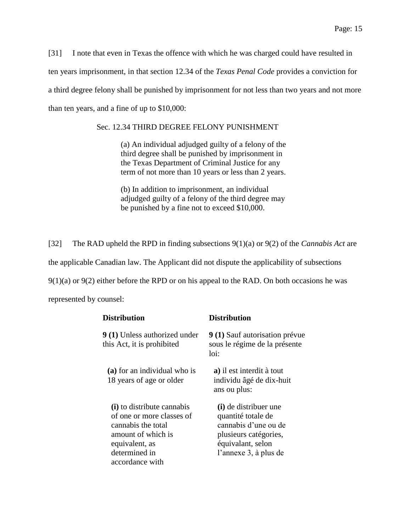[31] I note that even in Texas the offence with which he was charged could have resulted in ten years imprisonment, in that section 12.34 of the *Texas Penal Code* provides a conviction for a third degree felony shall be punished by imprisonment for not less than two years and not more than ten years, and a fine of up to \$10,000:

### Sec. 12.34 THIRD DEGREE FELONY PUNISHMENT

(a) An individual adjudged guilty of a felony of the third degree shall be punished by imprisonment in the Texas Department of Criminal Justice for any term of not more than 10 years or less than 2 years.

(b) In addition to imprisonment, an individual adjudged guilty of a felony of the third degree may be punished by a fine not to exceed \$10,000.

[32] The RAD upheld the RPD in finding subsections 9(1)(a) or 9(2) of the *Cannabis Act* are the applicable Canadian law. The Applicant did not dispute the applicability of subsections  $9(1)(a)$  or  $9(2)$  either before the RPD or on his appeal to the RAD. On both occasions he was represented by counsel:

| Distribution                                                                                                                                              | <b>Distribution</b>                                                                                                                        |
|-----------------------------------------------------------------------------------------------------------------------------------------------------------|--------------------------------------------------------------------------------------------------------------------------------------------|
| <b>9 (1)</b> Unless authorized under<br>this Act, it is prohibited                                                                                        | 9 (1) Sauf autorisation prévue<br>sous le régime de la présente<br>loi:                                                                    |
| (a) for an individual who is<br>18 years of age or older                                                                                                  | a) il est interdit à tout<br>individu âgé de dix-huit<br>ans ou plus:                                                                      |
| (i) to distribute cannabis<br>of one or more classes of<br>cannabis the total<br>amount of which is<br>equivalent, as<br>determined in<br>accordance with | (i) de distribuer une<br>quantité totale de<br>cannabis d'une ou de<br>plusieurs catégories,<br>équivalant, selon<br>l'annexe 3, à plus de |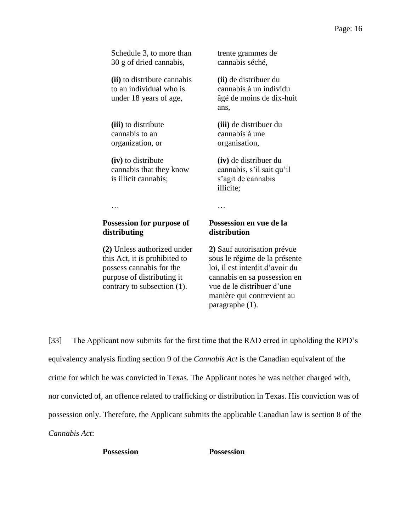Schedule 3, to more than 30 g of dried cannabis, **(ii)** to distribute cannabis to an individual who is under 18 years of age, ans, **(iii)** to distribute cannabis to an organization, or **(iv)** to distribute cannabis that they know is illicit cannabis; illicite; … … **Possession for purpose of distributing distribution (2)** Unless authorized under this Act, it is prohibited to possess cannabis for the purpose of distributing it contrary to subsection (1).

trente grammes de cannabis séché,

**(ii)** de distribuer du cannabis à un individu âgé de moins de dix-huit

**(iii)** de distribuer du cannabis à une organisation,

**(iv)** de distribuer du cannabis, s'il sait qu'il s'agit de cannabis

# **Possession en vue de la**

**2)** Sauf autorisation prévue sous le régime de la présente loi, il est interdit d'avoir du cannabis en sa possession en vue de le distribuer d'une manière qui contrevient au paragraphe (1).

[33] The Applicant now submits for the first time that the RAD erred in upholding the RPD's equivalency analysis finding section 9 of the *Cannabis Act* is the Canadian equivalent of the crime for which he was convicted in Texas. The Applicant notes he was neither charged with, nor convicted of, an offence related to trafficking or distribution in Texas. His conviction was of possession only. Therefore, the Applicant submits the applicable Canadian law is section 8 of the *Cannabis Act*:

**Possession Possession**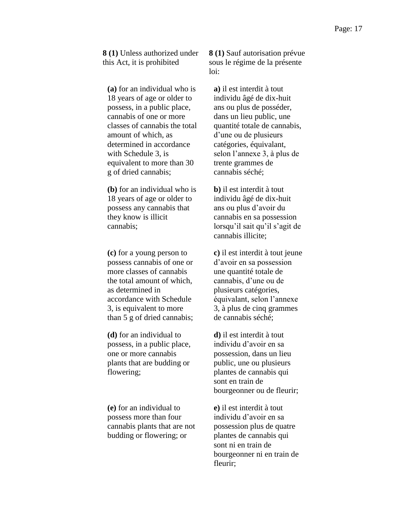**8 (1)** Unless authorized under this Act, it is prohibited

**(a)** for an individual who is 18 years of age or older to possess, in a public place, cannabis of one or more classes of cannabis the total amount of which, as determined in accordance with Schedule 3, is equivalent to more than 30 g of dried cannabis;

**(b)** for an individual who is 18 years of age or older to possess any cannabis that they know is illicit cannabis;

**(c)** for a young person to possess cannabis of one or more classes of cannabis the total amount of which, as determined in accordance with Schedule 3, is equivalent to more than 5 g of dried cannabis;

**(d)** for an individual to possess, in a public place, one or more cannabis plants that are budding or flowering;

**(e)** for an individual to possess more than four cannabis plants that are not budding or flowering; or

**8 (1)** Sauf autorisation prévue sous le régime de la présente loi:

**a)** il est interdit à tout individu âgé de dix-huit ans ou plus de posséder, dans un lieu public, une quantité totale de cannabis, d'une ou de plusieurs catégories, équivalant, selon l'annexe 3, à plus de trente grammes de cannabis séché;

**b)** il est interdit à tout individu âgé de dix-huit ans ou plus d'avoir du cannabis en sa possession lorsqu'il sait qu'il s'agit de cannabis illicite;

**c)** il est interdit à tout jeune d'avoir en sa possession une quantité totale de cannabis, d'une ou de plusieurs catégories, équivalant, selon l'annexe 3, à plus de cinq grammes de cannabis séché;

**d)** il est interdit à tout individu d'avoir en sa possession, dans un lieu public, une ou plusieurs plantes de cannabis qui sont en train de bourgeonner ou de fleurir;

**e)** il est interdit à tout individu d'avoir en sa possession plus de quatre plantes de cannabis qui sont ni en train de bourgeonner ni en train de fleurir;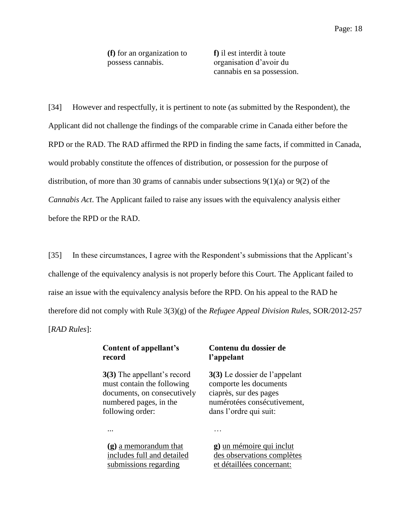**(f)** for an organization to possess cannabis.

**f)** il est interdit à toute organisation d'avoir du cannabis en sa possession.

[34] However and respectfully, it is pertinent to note (as submitted by the Respondent), the Applicant did not challenge the findings of the comparable crime in Canada either before the RPD or the RAD. The RAD affirmed the RPD in finding the same facts, if committed in Canada, would probably constitute the offences of distribution, or possession for the purpose of distribution, of more than 30 grams of cannabis under subsections 9(1)(a) or 9(2) of the *Cannabis Act*. The Applicant failed to raise any issues with the equivalency analysis either before the RPD or the RAD.

[35] In these circumstances, I agree with the Respondent's submissions that the Applicant's challenge of the equivalency analysis is not properly before this Court. The Applicant failed to raise an issue with the equivalency analysis before the RPD. On his appeal to the RAD he therefore did not comply with Rule 3(3)(g) of the *Refugee Appeal Division Rules*, SOR/2012-257 [*RAD Rules*]:

## **Content of appellant's record**

**3(3)** The appellant's record must contain the following documents, on consecutively numbered pages, in the following order:

# **Contenu du dossier de l'appelant**

**3(3)** Le dossier de l'appelant comporte les documents ciaprès, sur des pages numérotées consécutivement, dans l'ordre qui suit:

... …

**(g)** a memorandum that includes full and detailed submissions regarding

**g)** un mémoire qui inclut des observations complètes et détaillées concernant: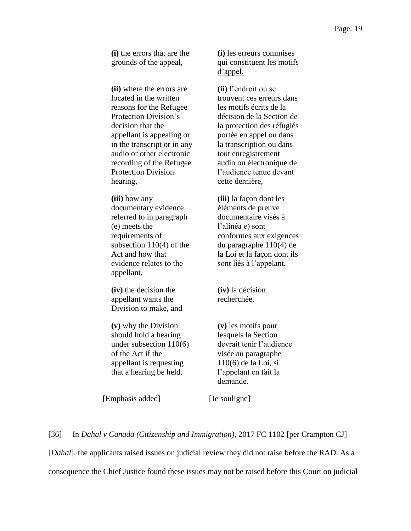**(i)** the errors that are the grounds of the appeal,

**(ii)** where the errors are located in the written reasons for the Refugee Protection Division's decision that the appellant is appealing or in the transcript or in any audio or other electronic recording of the Refugee Protection Division hearing,

**(iii)** how any documentary evidence referred to in paragraph (e) meets the requirements of subsection 110(4) of the Act and how that evidence relates to the appellant,

**(iv)** the decision the appellant wants the Division to make, and

**(v)** why the Division should hold a hearing under subsection 110(6) of the Act if the appellant is requesting that a hearing be held.

**(i)** les erreurs commises qui constituent les motifs d'appel,

**(ii)** l'endroit où se trouvent ces erreurs dans les motifs écrits de la décision de la Section de la protection des réfugiés portée en appel ou dans la transcription ou dans tout enregistrement audio ou électronique de l'audience tenue devant cette dernière,

**(iii)** la façon dont les éléments de preuve documentaire visés à l'alinéa e) sont conformes aux exigences du paragraphe 110(4) de la Loi et la façon dont ils sont liés à l'appelant,

**(iv)** la décision recherchée,

**(v)** les motifs pour lesquels la Section devrait tenir l'audience visée au paragraphe 110(6) de la Loi, si l'appelant en fait la demande.

[Emphasis added] [Je souligne]

[36] In *Dahal v Canada (Citizenship and Immigration),* 2017 FC 1102 [per Crampton CJ]

[*Dahal*], the applicants raised issues on judicial review they did not raise before the RAD. As a

consequence the Chief Justice found these issues may not be raised before this Court on judicial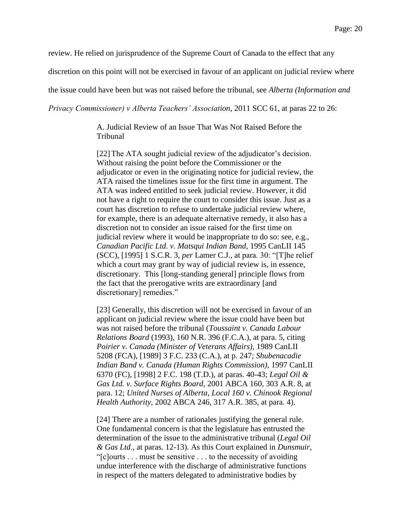review. He relied on jurisprudence of the Supreme Court of Canada to the effect that any

discretion on this point will not be exercised in favour of an applicant on judicial review where

the issue could have been but was not raised before the tribunal, see *Alberta (Information and* 

*Privacy Commissioner) v Alberta Teachers' Association*, 2011 SCC 61, at paras 22 to 26:

A. Judicial Review of an Issue That Was Not Raised Before the Tribunal

[22]The ATA sought judicial review of the adjudicator's decision. Without raising the point before the Commissioner or the adjudicator or even in the originating notice for judicial review, the ATA raised the timelines issue for the first time in argument. The ATA was indeed entitled to seek judicial review. However, it did not have a right to require the court to consider this issue. Just as a court has discretion to refuse to undertake judicial review where, for example, there is an adequate alternative remedy, it also has a discretion not to consider an issue raised for the first time on judicial review where it would be inappropriate to do so: see, e.g., *Canadian Pacific Ltd. v. Matsqui Indian Band*, 1995 CanLII 145 (SCC), [1995] 1 S.C.R. 3, *per* Lamer C.J., at para. 30: "[T]he relief which a court may grant by way of judicial review is, in essence, discretionary. This [long-standing general] principle flows from the fact that the prerogative writs are extraordinary [and discretionary] remedies."

[23] Generally, this discretion will not be exercised in favour of an applicant on judicial review where the issue could have been but was not raised before the tribunal (*Toussaint v. Canada Labour Relations Board* (1993), 160 N.R. 396 (F.C.A.), at para. 5, citing *Poirier v. Canada (Minister of Veterans Affairs)*, 1989 CanLII 5208 (FCA), [1989] 3 F.C. 233 (C.A.), at p. 247; *Shubenacadie Indian Band v. Canada (Human Rights Commission)*, 1997 CanLII 6370 (FC), [1998] 2 F.C. 198 (T.D.), at paras. 40-43; *Legal Oil & Gas Ltd. v. Surface Rights Board*, 2001 ABCA 160, 303 A.R. 8, at para. 12; *United Nurses of Alberta, Local 160 v. Chinook Regional Health Authority*, 2002 ABCA 246, 317 A.R. 385, at para. 4).

[24] There are a number of rationales justifying the general rule. One fundamental concern is that the legislature has entrusted the determination of the issue to the administrative tribunal (*Legal Oil & Gas Ltd.*, at paras. 12-13). As this Court explained in *Dunsmuir*, "[c]ourts . . . must be sensitive . . . to the necessity of avoiding undue interference with the discharge of administrative functions in respect of the matters delegated to administrative bodies by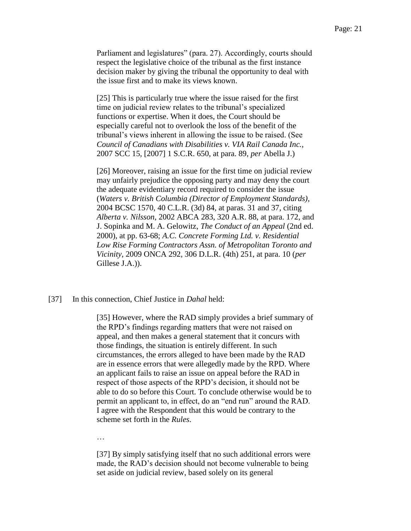Parliament and legislatures" (para. 27). Accordingly, courts should respect the legislative choice of the tribunal as the first instance decision maker by giving the tribunal the opportunity to deal with the issue first and to make its views known.

[25] This is particularly true where the issue raised for the first time on judicial review relates to the tribunal's specialized functions or expertise. When it does, the Court should be especially careful not to overlook the loss of the benefit of the tribunal's views inherent in allowing the issue to be raised. (See *Council of Canadians with Disabilities v. VIA Rail Canada Inc.*, 2007 SCC 15, [2007] 1 S.C.R. 650, at para. 89, *per* Abella J.)

[26] Moreover, raising an issue for the first time on judicial review may unfairly prejudice the opposing party and may deny the court the adequate evidentiary record required to consider the issue (*Waters v. British Columbia (Director of Employment Standards)*, 2004 BCSC 1570, 40 C.L.R. (3d) 84, at paras. 31 and 37, citing *Alberta v. Nilsson*, 2002 ABCA 283, 320 A.R. 88, at para. 172, and J. Sopinka and M. A. Gelowitz, *The Conduct of an Appeal* (2nd ed. 2000), at pp. 63-68; *A.C. Concrete Forming Ltd. v. Residential Low Rise Forming Contractors Assn. of Metropolitan Toronto and Vicinity*, 2009 ONCA 292, 306 D.L.R. (4th) 251, at para. 10 (*per* Gillese J.A.)).

[37] In this connection, Chief Justice in *Dahal* held:

[35] However, where the RAD simply provides a brief summary of the RPD's findings regarding matters that were not raised on appeal, and then makes a general statement that it concurs with those findings, the situation is entirely different. In such circumstances, the errors alleged to have been made by the RAD are in essence errors that were allegedly made by the RPD. Where an applicant fails to raise an issue on appeal before the RAD in respect of those aspects of the RPD's decision, it should not be able to do so before this Court. To conclude otherwise would be to permit an applicant to, in effect, do an "end run" around the RAD. I agree with the Respondent that this would be contrary to the scheme set forth in the *Rules*.

…

[37] By simply satisfying itself that no such additional errors were made, the RAD's decision should not become vulnerable to being set aside on judicial review, based solely on its general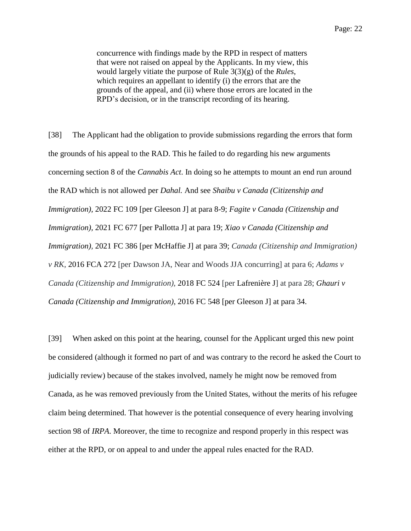concurrence with findings made by the RPD in respect of matters that were not raised on appeal by the Applicants. In my view, this would largely vitiate the purpose of Rule 3(3)(g) of the *Rules*, which requires an appellant to identify (i) the errors that are the grounds of the appeal, and (ii) where those errors are located in the RPD's decision, or in the transcript recording of its hearing.

[38] The Applicant had the obligation to provide submissions regarding the errors that form the grounds of his appeal to the RAD. This he failed to do regarding his new arguments concerning section 8 of the *Cannabis Act*. In doing so he attempts to mount an end run around the RAD which is not allowed per *Dahal.* And see *Shaibu v Canada (Citizenship and Immigration),* 2022 FC 109 [per Gleeson J] at para 8-9; *Fagite v Canada (Citizenship and Immigration),* 2021 FC 677 [per Pallotta J] at para 19; *Xiao v Canada (Citizenship and Immigration),* 2021 FC 386 [per McHaffie J] at para 39; *Canada (Citizenship and Immigration) v RK,* 2016 FCA 272 [per Dawson JA, Near and Woods JJA concurring] at para 6; *Adams v Canada (Citizenship and Immigration),* 2018 FC 524 [per Lafrenière J] at para 28; *Ghauri v Canada (Citizenship and Immigration)*, 2016 FC 548 [per Gleeson J] at para 34.

[39] When asked on this point at the hearing, counsel for the Applicant urged this new point be considered (although it formed no part of and was contrary to the record he asked the Court to judicially review) because of the stakes involved, namely he might now be removed from Canada, as he was removed previously from the United States, without the merits of his refugee claim being determined. That however is the potential consequence of every hearing involving section 98 of *IRPA*. Moreover, the time to recognize and respond properly in this respect was either at the RPD, or on appeal to and under the appeal rules enacted for the RAD.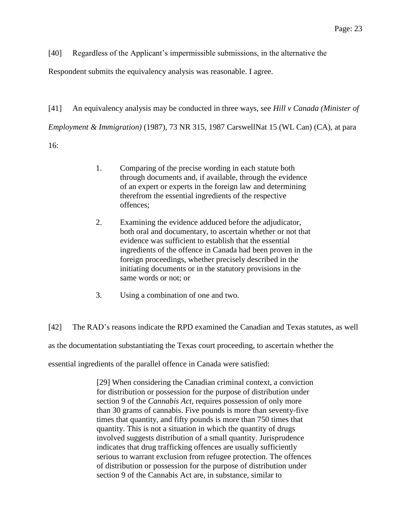[40] Regardless of the Applicant's impermissible submissions, in the alternative the

Respondent submits the equivalency analysis was reasonable. I agree.

[41] An equivalency analysis may be conducted in three ways, see *Hill v Canada (Minister of Employment & Immigration)* (1987), 73 NR 315, 1987 CarswellNat 15 (WL Can) (CA), at para 16:

- 1. Comparing of the precise wording in each statute both through documents and, if available, through the evidence of an expert or experts in the foreign law and determining therefrom the essential ingredients of the respective offences;
- 2. Examining the evidence adduced before the adjudicator, both oral and documentary, to ascertain whether or not that evidence was sufficient to establish that the essential ingredients of the offence in Canada had been proven in the foreign proceedings, whether precisely described in the initiating documents or in the statutory provisions in the same words or not; or
- 3. Using a combination of one and two.

[42] The RAD's reasons indicate the RPD examined the Canadian and Texas statutes, as well

as the documentation substantiating the Texas court proceeding, to ascertain whether the

essential ingredients of the parallel offence in Canada were satisfied:

[29] When considering the Canadian criminal context, a conviction for distribution or possession for the purpose of distribution under section 9 of the *Cannabis Act*, requires possession of only more than 30 grams of cannabis. Five pounds is more than seventy-five times that quantity, and fifty pounds is more than 750 times that quantity. This is not a situation in which the quantity of drugs involved suggests distribution of a small quantity. Jurisprudence indicates that drug trafficking offences are usually sufficiently serious to warrant exclusion from refugee protection. The offences of distribution or possession for the purpose of distribution under section 9 of the Cannabis Act are, in substance, similar to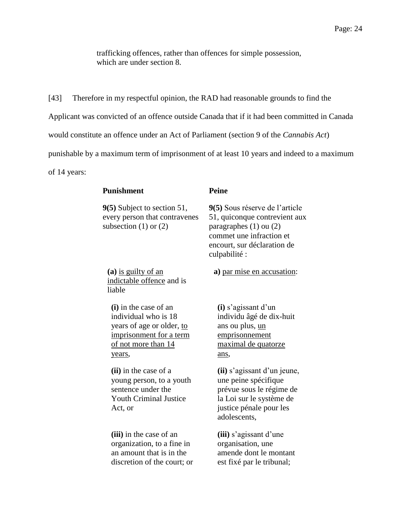trafficking offences, rather than offences for simple possession, which are under section 8.

[43] Therefore in my respectful opinion, the RAD had reasonable grounds to find the Applicant was convicted of an offence outside Canada that if it had been committed in Canada would constitute an offence under an Act of Parliament (section 9 of the *Cannabis Act*) punishable by a maximum term of imprisonment of at least 10 years and indeed to a maximum of 14 years:

### **Punishment Peine**

**9(5)** Subject to section 51, every person that contravenes subsection  $(1)$  or  $(2)$ 

**(a)** is guilty of an indictable offence and is liable

**(i)** in the case of an individual who is 18 years of age or older, to imprisonment for a term of not more than 14 years,

**(ii)** in the case of a young person, to a youth sentence under the Youth Criminal Justice Act, or

**(iii)** in the case of an organization, to a fine in an amount that is in the discretion of the court; or

**9(5)** Sous réserve de l'article 51, quiconque contrevient aux paragraphes (1) ou (2) commet une infraction et encourt, sur déclaration de culpabilité :

**a)** par mise en accusation:

**(i)** s'agissant d'un individu âgé de dix-huit ans ou plus, un emprisonnement maximal de quatorze ans,

**(ii)** s'agissant d'un jeune, une peine spécifique prévue sous le régime de la Loi sur le système de justice pénale pour les adolescents,

**(iii)** s'agissant d'une organisation, une amende dont le montant est fixé par le tribunal;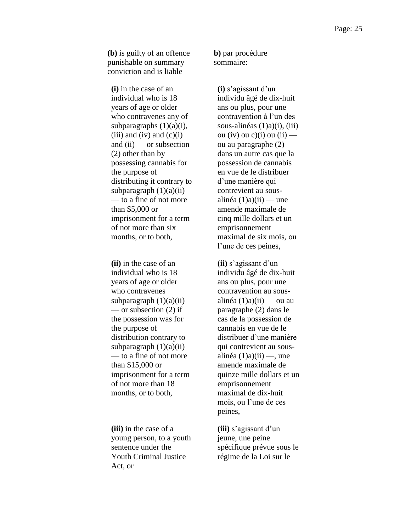**(b)** is guilty of an offence punishable on summary conviction and is liable

**(i)** in the case of an individual who is 18 years of age or older who contravenes any of subparagraphs  $(1)(a)(i)$ ,  $(iii)$  and  $(iv)$  and  $(c)(i)$ and  $(ii)$  — or subsection (2) other than by possessing cannabis for the purpose of distributing it contrary to subparagraph  $(1)(a)(ii)$ — to a fine of not more than \$5,000 or imprisonment for a term of not more than six months, or to both,

**(ii)** in the case of an individual who is 18 years of age or older who contravenes subparagraph  $(1)(a)(ii)$ — or subsection (2) if the possession was for the purpose of distribution contrary to subparagraph  $(1)(a)(ii)$ — to a fine of not more than \$15,000 or imprisonment for a term of not more than 18 months, or to both,

**(iii)** in the case of a young person, to a youth sentence under the Youth Criminal Justice Act, or

**b)** par procédure sommaire:

**(i)** s'agissant d'un individu âgé de dix-huit ans ou plus, pour une contravention à l'un des sous-alinéas (1)a)(i), (iii) ou (iv) ou c)(i) ou (ii) ou au paragraphe (2) dans un autre cas que la possession de cannabis en vue de le distribuer d'une manière qui contrevient au sousalinéa  $(1)$ a) $(ii)$  — une amende maximale de cinq mille dollars et un emprisonnement maximal de six mois, ou l'une de ces peines,

**(ii)** s'agissant d'un individu âgé de dix-huit ans ou plus, pour une contravention au sousalinéa  $(1)$ a) $(ii)$  — ou au paragraphe (2) dans le cas de la possession de cannabis en vue de le distribuer d'une manière qui contrevient au sousalinéa  $(1)$ a) $(ii)$ —, une amende maximale de quinze mille dollars et un emprisonnement maximal de dix-huit mois, ou l'une de ces peines,

**(iii)** s'agissant d'un jeune, une peine spécifique prévue sous le régime de la Loi sur le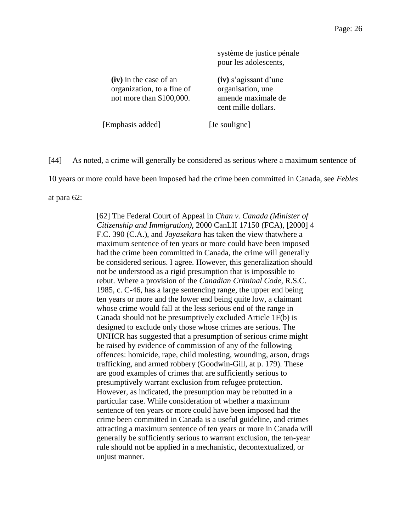système de justice pénale pour les adolescents, **(iv)** in the case of an organization, to a fine of not more than \$100,000. amende maximale de cent mille dollars.

**(iv)** s'agissant d'une organisation, une

[Emphasis added] [Je souligne]

[44] As noted, a crime will generally be considered as serious where a maximum sentence of

10 years or more could have been imposed had the crime been committed in Canada, see *Febles*

at para 62:

[62] The Federal Court of Appeal in *Chan v. Canada (Minister of Citizenship and Immigration)*, 2000 CanLII 17150 (FCA), [2000] 4 F.C. 390 (C.A.), and *Jayasekara* has taken the view thatwhere a maximum sentence of ten years or more could have been imposed had the crime been committed in Canada, the crime will generally be considered serious. I agree. However, this generalization should not be understood as a rigid presumption that is impossible to rebut. Where a provision of the *Canadian Criminal Code*, R.S.C. 1985, c. C-46, has a large sentencing range, the upper end being ten years or more and the lower end being quite low, a claimant whose crime would fall at the less serious end of the range in Canada should not be presumptively excluded Article 1F(b) is designed to exclude only those whose crimes are serious. The UNHCR has suggested that a presumption of serious crime might be raised by evidence of commission of any of the following offences: homicide, rape, child molesting, wounding, arson, drugs trafficking, and armed robbery (Goodwin-Gill, at p. 179). These are good examples of crimes that are sufficiently serious to presumptively warrant exclusion from refugee protection. However, as indicated, the presumption may be rebutted in a particular case. While consideration of whether a maximum sentence of ten years or more could have been imposed had the crime been committed in Canada is a useful guideline, and crimes attracting a maximum sentence of ten years or more in Canada will generally be sufficiently serious to warrant exclusion, the ten-year rule should not be applied in a mechanistic, decontextualized, or unjust manner.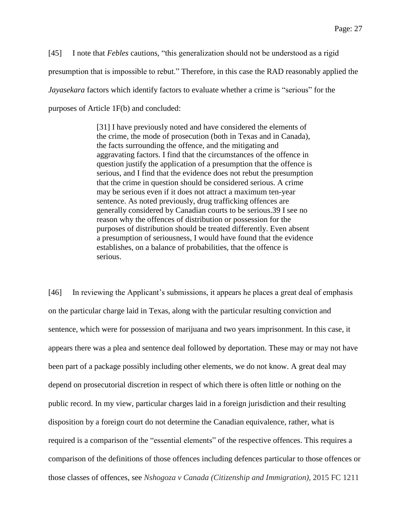[45] I note that *Febles* cautions, "this generalization should not be understood as a rigid presumption that is impossible to rebut." Therefore, in this case the RAD reasonably applied the *Jayasekara* factors which identify factors to evaluate whether a crime is "serious" for the purposes of Article 1F(b) and concluded:

> [31] I have previously noted and have considered the elements of the crime, the mode of prosecution (both in Texas and in Canada), the facts surrounding the offence, and the mitigating and aggravating factors. I find that the circumstances of the offence in question justify the application of a presumption that the offence is serious, and I find that the evidence does not rebut the presumption that the crime in question should be considered serious. A crime may be serious even if it does not attract a maximum ten-year sentence. As noted previously, drug trafficking offences are generally considered by Canadian courts to be serious.39 I see no reason why the offences of distribution or possession for the purposes of distribution should be treated differently. Even absent a presumption of seriousness, I would have found that the evidence establishes, on a balance of probabilities, that the offence is serious.

[46] In reviewing the Applicant's submissions, it appears he places a great deal of emphasis on the particular charge laid in Texas, along with the particular resulting conviction and sentence, which were for possession of marijuana and two years imprisonment. In this case, it appears there was a plea and sentence deal followed by deportation. These may or may not have been part of a package possibly including other elements, we do not know. A great deal may depend on prosecutorial discretion in respect of which there is often little or nothing on the public record. In my view, particular charges laid in a foreign jurisdiction and their resulting disposition by a foreign court do not determine the Canadian equivalence, rather, what is required is a comparison of the "essential elements" of the respective offences. This requires a comparison of the definitions of those offences including defences particular to those offences or those classes of offences, see *Nshogoza v Canada (Citizenship and Immigration)*, 2015 FC 1211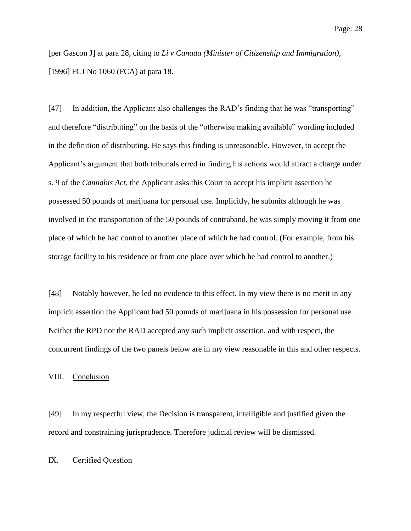[per Gascon J] at para 28, citing to *Li v Canada (Minister of Citizenship and Immigration)*, [1996] FCJ No 1060 (FCA) at para 18.

[47] In addition, the Applicant also challenges the RAD's finding that he was "transporting" and therefore "distributing" on the basis of the "otherwise making available" wording included in the definition of distributing. He says this finding is unreasonable. However, to accept the Applicant's argument that both tribunals erred in finding his actions would attract a charge under s. 9 of the *Cannabis Act*, the Applicant asks this Court to accept his implicit assertion he possessed 50 pounds of marijuana for personal use. Implicitly, he submits although he was involved in the transportation of the 50 pounds of contraband, he was simply moving it from one place of which he had control to another place of which he had control. (For example, from his storage facility to his residence or from one place over which he had control to another.)

[48] Notably however, he led no evidence to this effect. In my view there is no merit in any implicit assertion the Applicant had 50 pounds of marijuana in his possession for personal use. Neither the RPD nor the RAD accepted any such implicit assertion, and with respect, the concurrent findings of the two panels below are in my view reasonable in this and other respects.

VIII. Conclusion

[49] In my respectful view, the Decision is transparent, intelligible and justified given the record and constraining jurisprudence. Therefore judicial review will be dismissed.

### IX. Certified Question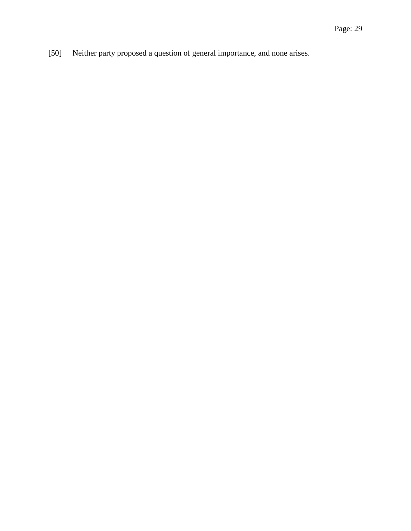[50] Neither party proposed a question of general importance, and none arises.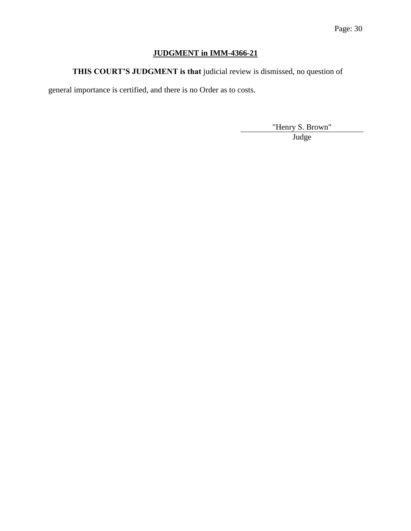# **JUDGMENT in IMM-4366-21**

**THIS COURT'S JUDGMENT is that** judicial review is dismissed, no question of

general importance is certified, and there is no Order as to costs.

"Henry S. Brown"

Judge